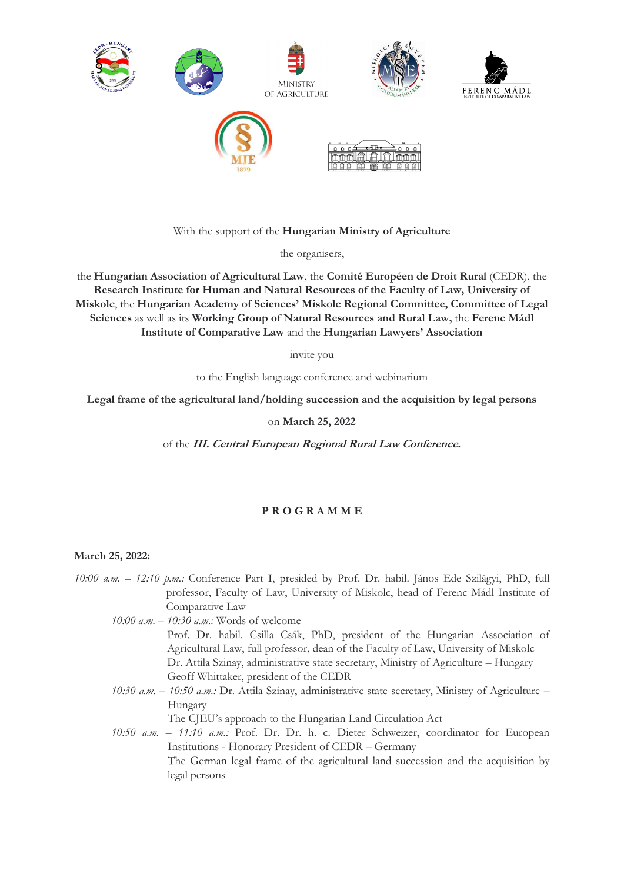

With the support of the **Hungarian Ministry of Agriculture**

the organisers,

the **Hungarian Association of Agricultural Law**, the **Comité Européen de Droit Rural** (CEDR), the **Research Institute for Human and Natural Resources of the Faculty of Law, University of Miskolc**, the **Hungarian Academy of Sciences' Miskolc Regional Committee, Committee of Legal Sciences** as well as its **Working Group of Natural Resources and Rural Law,** the **Ferenc Mádl Institute of Comparative Law** and the **Hungarian Lawyers' Association**

invite you

to the English language conference and webinarium

**Legal frame of the agricultural land/holding succession and the acquisition by legal persons**

on **March 25, 2022**

of the **III. Central European Regional Rural Law Conference.**

## **P R O G R A M M E**

## **March 25, 2022:**

*10:00 a.m. – 12:10 p.m.:* Conference Part I, presided by Prof. Dr. habil. János Ede Szilágyi, PhD, full professor, Faculty of Law, University of Miskolc, head of Ferenc Mádl Institute of Comparative Law

- *10:00 a.m. – 10:30 a.m.:* Words of welcome Prof. Dr. habil. Csilla Csák, PhD, president of the Hungarian Association of Agricultural Law, full professor, dean of the Faculty of Law, University of Miskolc Dr. Attila Szinay, administrative state secretary, Ministry of Agriculture – Hungary Geoff Whittaker, president of the CEDR
- *10:30 a.m. – 10:50 a.m.:* Dr. Attila Szinay, administrative state secretary, Ministry of Agriculture Hungary

The CJEU's approach to the Hungarian Land Circulation Act

*10:50 a.m. – 11:10 a.m.:* Prof. Dr. Dr. h. c. Dieter Schweizer, coordinator for European Institutions - Honorary President of CEDR – Germany The German legal frame of the agricultural land succession and the acquisition by legal persons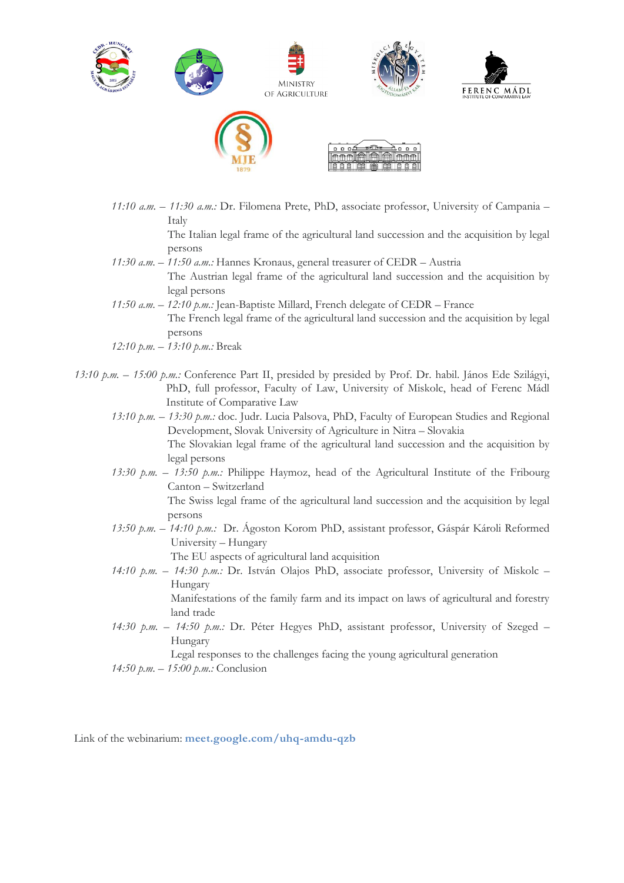

*11:10 a.m. – 11:30 a.m.:* Dr. Filomena Prete, PhD, associate professor, University of Campania – Italy

The Italian legal frame of the agricultural land succession and the acquisition by legal persons

- *11:30 a.m. – 11:50 a.m.:* Hannes Kronaus, general treasurer of CEDR Austria The Austrian legal frame of the agricultural land succession and the acquisition by legal persons
- *11:50 a.m. – 12:10 p.m.:* Jean-Baptiste Millard, French delegate of CEDR France The French legal frame of the agricultural land succession and the acquisition by legal persons
- *12:10 p.m. – 13:10 p.m.:* Break
- *13:10 p.m. – 15:00 p.m.:* Conference Part II, presided by presided by Prof. Dr. habil. János Ede Szilágyi, PhD, full professor, Faculty of Law, University of Miskolc, head of Ferenc Mádl Institute of Comparative Law
	- *13:10 p.m. – 13:30 p.m.:* doc. Judr. Lucia Palsova, PhD, Faculty of European Studies and Regional Development, Slovak University of Agriculture in Nitra – Slovakia The Slovakian legal frame of the agricultural land succession and the acquisition by legal persons
	- *13:30 p.m. – 13:50 p.m.:* Philippe Haymoz, head of the Agricultural Institute of the Fribourg Canton – Switzerland

The Swiss legal frame of the agricultural land succession and the acquisition by legal persons

*13:50 p.m. – 14:10 p.m.:* Dr. Ágoston Korom PhD, assistant professor, Gáspár Károli Reformed University – Hungary

The EU aspects of agricultural land acquisition

*14:10 p.m. – 14:30 p.m.:* Dr. István Olajos PhD, associate professor, University of Miskolc – Hungary

Manifestations of the family farm and its impact on laws of agricultural and forestry land trade

*14:30 p.m. – 14:50 p.m.:* Dr. Péter Hegyes PhD, assistant professor, University of Szeged – Hungary

Legal responses to the challenges facing the young agricultural generation

*14:50 p.m. – 15:00 p.m.:* Conclusion

Link of the webinarium: **meet.google.com/uhq-amdu-qzb**